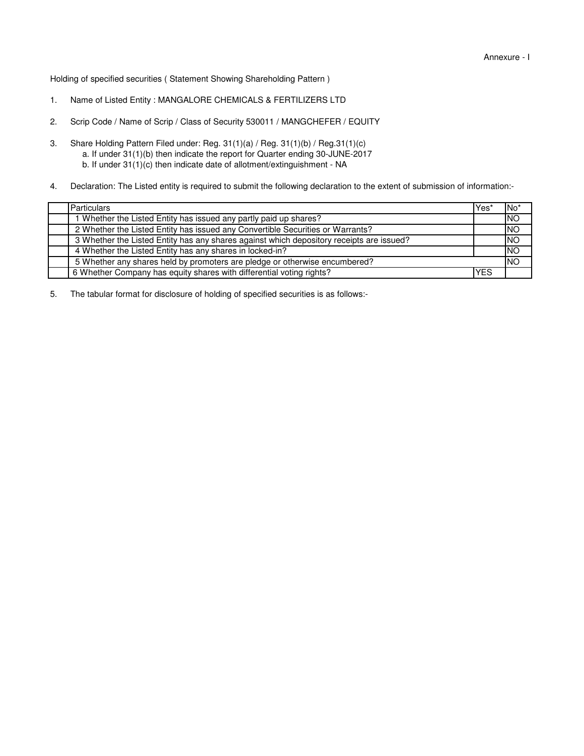Holding of specified securities ( Statement Showing Shareholding Pattern )

- 1. Name of Listed Entity : MANGALORE CHEMICALS & FERTILIZERS LTD
- 2. Scrip Code / Name of Scrip / Class of Security 530011 / MANGCHEFER / EQUITY
- 3. b. If under 31(1)(c) then indicate date of allotment/extinguishment - NA a. If under 31(1)(b) then indicate the report for Quarter ending 30-JUNE-2017 Share Holding Pattern Filed under: Reg. 31(1)(a) / Reg. 31(1)(b) / Reg.31(1)(c)
- 4. Declaration: The Listed entity is required to submit the following declaration to the extent of submission of information:-

| Particulars                                                                              | 'Yes       | $No*$     |
|------------------------------------------------------------------------------------------|------------|-----------|
| 1 Whether the Listed Entity has issued any partly paid up shares?                        |            | <b>NO</b> |
| 2 Whether the Listed Entity has issued any Convertible Securities or Warrants?           |            | <b>NO</b> |
| 3 Whether the Listed Entity has any shares against which depository receipts are issued? |            | <b>NO</b> |
| 4 Whether the Listed Entity has any shares in locked-in?                                 |            | <b>NO</b> |
| 5 Whether any shares held by promoters are pledge or otherwise encumbered?               |            | <b>NO</b> |
| 6 Whether Company has equity shares with differential voting rights?                     | <b>YES</b> |           |

5. The tabular format for disclosure of holding of specified securities is as follows:-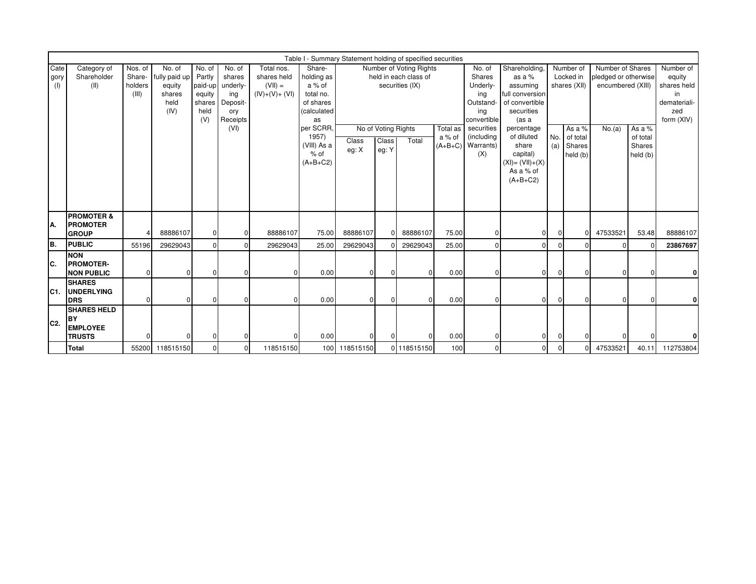|                     | Table I - Summary Statement holding of specified securities<br>Nos. of<br>No. of<br>No. of<br>No. of<br>Total nos.<br>Share-<br>Number of Voting Rights<br>Shareholding<br>Number of<br>Number of Shares<br>Category of |                            |                                                   |                                               |                                              |                                            |                                                                 |                |                                       |                                          |                    |                                                                        |                                                                                                         |                           |                                          |                                           |                                          |                                                                               |
|---------------------|-------------------------------------------------------------------------------------------------------------------------------------------------------------------------------------------------------------------------|----------------------------|---------------------------------------------------|-----------------------------------------------|----------------------------------------------|--------------------------------------------|-----------------------------------------------------------------|----------------|---------------------------------------|------------------------------------------|--------------------|------------------------------------------------------------------------|---------------------------------------------------------------------------------------------------------|---------------------------|------------------------------------------|-------------------------------------------|------------------------------------------|-------------------------------------------------------------------------------|
| Cate<br>gory<br>(1) | Shareholder<br>(II)                                                                                                                                                                                                     | Share-<br>holders<br>(III) | fully paid up<br>equity<br>shares<br>held<br>(IV) | Partly<br>paid-up<br>equity<br>shares<br>held | shares<br>underly-<br>ing<br>Deposit-<br>ory | shares held<br>$(VII) =$<br>$(IV)+(V)+(V)$ | holding as<br>a % of<br>total no.<br>of shares<br>(calculated   |                |                                       | held in each class of<br>securities (IX) |                    | No. of<br>Shares<br>Underly-<br>ing<br>Outstand-<br>ing<br>convertible | as a %<br>assuming<br>full conversion<br>of convertible<br>securities                                   | Locked in<br>shares (XII) |                                          | pledged or otherwise<br>encumbered (XIII) |                                          | Number of<br>equity<br>shares held<br>in<br>demateriali-<br>zed<br>form (XIV) |
|                     |                                                                                                                                                                                                                         |                            |                                                   | (V)                                           | Receipts<br>(VI)                             |                                            | as<br>per SCRR,<br>1957)<br>(VIII) As a<br>$%$ of<br>$(A+B+C2)$ | Class<br>eg: X | No of Voting Rights<br>Class<br>eg: Y | Total                                    | Total as<br>a % of | securities<br>(including<br>$(A+B+C)$ Warrants)<br>(X)                 | (as a<br>percentage<br>of diluted<br>share<br>capital)<br>$(XI) = (VII)+(X)$<br>As a % of<br>$(A+B+C2)$ | No.<br>(a)                | As a %<br>of total<br>Shares<br>held (b) | No.(a)                                    | As a %<br>of total<br>Shares<br>held (b) |                                                                               |
| A.                  | <b>PROMOTER &amp;</b><br><b>PROMOTER</b><br><b>GROUP</b>                                                                                                                                                                |                            | 88886107                                          | $\Omega$                                      | $\Omega$                                     | 88886107                                   | 75.00                                                           | 88886107       | $\Omega$                              | 88886107                                 | 75.00              |                                                                        | $\Omega$                                                                                                | $\Omega$                  | 0                                        | 47533521                                  | 53.48                                    | 88886107                                                                      |
| B.                  | <b>PUBLIC</b>                                                                                                                                                                                                           | 55196                      | 29629043                                          | $\Omega$                                      |                                              | 29629043                                   | 25.00                                                           | 29629043       |                                       | 29629043                                 | 25.00              |                                                                        | $\Omega$                                                                                                |                           | $\Omega$                                 | 0                                         |                                          | 23867697                                                                      |
| IC.                 | <b>NON</b><br><b>PROMOTER-</b><br><b>NON PUBLIC</b>                                                                                                                                                                     | $\Omega$                   | $\Omega$                                          | $\Omega$                                      |                                              | $\Omega$                                   | 0.00                                                            | $\Omega$       | $\Omega$                              |                                          | 0.00               |                                                                        | 01                                                                                                      | $\Omega$                  | 0                                        |                                           | 0                                        | 0l                                                                            |
| C1.                 | <b>SHARES</b><br><b>UNDERLYING</b><br><b>DRS</b>                                                                                                                                                                        | $\mathbf{0}$               | $\overline{0}$                                    | $\Omega$                                      |                                              | <sup>0</sup>                               | 0.00                                                            | $\Omega$       | $\overline{0}$                        |                                          | 0.00               |                                                                        | $\overline{0}$                                                                                          |                           | $\overline{0}$                           | $\Omega$                                  |                                          | $\mathbf{0}$                                                                  |
| C <sub>2</sub> .    | <b>SHARES HELD</b><br>lΒY<br><b>EMPLOYEE</b><br><b>TRUSTS</b>                                                                                                                                                           | n                          | $\Omega$                                          | $\Omega$                                      |                                              | U                                          | 0.00                                                            | ŋ              | $\Omega$                              |                                          | 0.00               |                                                                        | 01                                                                                                      |                           |                                          |                                           |                                          |                                                                               |
|                     | Total                                                                                                                                                                                                                   |                            | 55200 118515150                                   | $\mathbf 0$                                   |                                              | 118515150                                  |                                                                 | 100 118515150  |                                       | 0 118515150                              | 100                |                                                                        | $\Omega$                                                                                                |                           | 0                                        | 47533521                                  | 40.11                                    | 112753804                                                                     |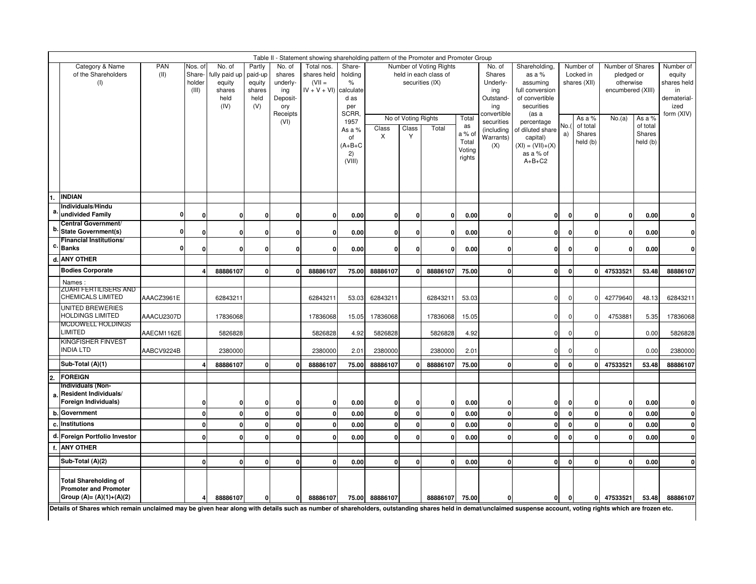|                  |                                                                                                                                                                                                                |              |                                      |                                                             |                                                      |                                                                            | Table II - Statement showing shareholding pattern of the Promoter and Promoter Group |                                                                                                       |              |                                   |                                                                              |                                                    |                                                                                                                        |                                                                                                                                                                                              |              |                                                                                    |                                                                            |                                          |                                                                               |
|------------------|----------------------------------------------------------------------------------------------------------------------------------------------------------------------------------------------------------------|--------------|--------------------------------------|-------------------------------------------------------------|------------------------------------------------------|----------------------------------------------------------------------------|--------------------------------------------------------------------------------------|-------------------------------------------------------------------------------------------------------|--------------|-----------------------------------|------------------------------------------------------------------------------|----------------------------------------------------|------------------------------------------------------------------------------------------------------------------------|----------------------------------------------------------------------------------------------------------------------------------------------------------------------------------------------|--------------|------------------------------------------------------------------------------------|----------------------------------------------------------------------------|------------------------------------------|-------------------------------------------------------------------------------|
|                  | Category & Name<br>of the Shareholders<br>(1)                                                                                                                                                                  | PAN<br>(II)  | Nos. of<br>Share-<br>holder<br>(III) | No. of<br>fully paid up<br>equity<br>shares<br>held<br>(IV) | Partly<br>paid-up<br>equity<br>shares<br>held<br>(V) | No. of<br>shares<br>underly-<br>ing<br>Deposit-<br>ory<br>Receipts<br>(VI) | Total nos.<br>shares held<br>$(VII =$<br>$IV + V + VI$ ) calculate                   | Share-<br>holding<br>$\%$<br>d as<br>per<br>SCRR.<br>1957<br>As a %<br>of<br>$(A+B+C$<br>2)<br>(VIII) | Class<br>X   | No of Voting Rights<br>Class<br>Y | Number of Voting Rights<br>held in each class of<br>securities (IX)<br>Total | Total<br>as<br>a % of<br>Total<br>Voting<br>rights | No. of<br>Shares<br>Underly-<br>ing<br>Outstand-<br>ing<br>convertible<br>securities<br>(including<br>Warrants)<br>(X) | Shareholding,<br>as a %<br>assuming<br>full conversion<br>of convertible<br>securities<br>(as a<br>percentage<br>of diluted share<br>capital)<br>$(XI) = (VII)+(X)$<br>as a % of<br>$A+B+C2$ | No.          | Number of<br>Locked in<br>shares (XII)<br>As a %<br>of total<br>Shares<br>held (b) | Number of Shares<br>pledged or<br>otherwise<br>encumbered (XIII)<br>No.(a) | As a %<br>of total<br>Shares<br>held (b) | Number of<br>equity<br>shares held<br>in<br>dematerial-<br>ized<br>form (XIV) |
|                  | <b>INDIAN</b><br>Individuals/Hindu                                                                                                                                                                             |              |                                      |                                                             |                                                      |                                                                            |                                                                                      |                                                                                                       |              |                                   |                                                                              |                                                    |                                                                                                                        |                                                                                                                                                                                              |              |                                                                                    |                                                                            |                                          |                                                                               |
| a                | undivided Family                                                                                                                                                                                               | 0            | $\Omega$                             | $\mathbf 0$                                                 | $\mathbf 0$                                          | 0                                                                          | 0                                                                                    | 0.00                                                                                                  | $\mathbf{0}$ | $\mathbf 0$                       | $\mathbf{0}$                                                                 | 0.00                                               | 0                                                                                                                      | ٥I                                                                                                                                                                                           | $\mathbf 0$  | $\mathbf 0$                                                                        | $\mathbf{0}$                                                               | 0.00                                     | $\mathbf{0}$                                                                  |
| b                | Central Government/<br>State Government(s)                                                                                                                                                                     | $\mathbf{0}$ | $\Omega$                             | $\mathbf 0$                                                 | 0                                                    | $\mathbf 0$                                                                | $\mathbf{0}$                                                                         | 0.00                                                                                                  | $\mathbf{0}$ | $\pmb{0}$                         | $\mathbf{0}$                                                                 | 0.00                                               | $\mathbf 0$                                                                                                            | ٥I                                                                                                                                                                                           | $\Omega$     | $\mathbf 0$                                                                        | $\mathbf{0}$                                                               | 0.00                                     | $\mathbf{0}$                                                                  |
|                  | <b>Financial Institutions/</b>                                                                                                                                                                                 |              |                                      |                                                             |                                                      |                                                                            |                                                                                      |                                                                                                       |              |                                   |                                                                              |                                                    |                                                                                                                        |                                                                                                                                                                                              |              |                                                                                    |                                                                            |                                          |                                                                               |
|                  | c. Banks<br>d. ANY OTHER                                                                                                                                                                                       | 0            | O                                    | 0                                                           | 0                                                    | $\mathbf 0$                                                                | $\mathbf{0}$                                                                         | 0.00                                                                                                  | $\mathbf{0}$ | $\mathbf{0}$                      | $\mathbf{0}$                                                                 | 0.00                                               | 0                                                                                                                      | 0                                                                                                                                                                                            | $\mathbf 0$  | $\mathbf 0$                                                                        | $\mathbf{0}$                                                               | 0.00                                     | $\mathbf{0}$                                                                  |
|                  | <b>Bodies Corporate</b>                                                                                                                                                                                        |              |                                      | 88886107                                                    | $\Omega$                                             | $\mathbf{0}$                                                               | 88886107                                                                             | 75.00                                                                                                 | 88886107     | $\mathbf{0}$                      | 88886107                                                                     | 75.00                                              | $\mathbf{0}$                                                                                                           | $\mathbf{0}$                                                                                                                                                                                 | $\mathbf{0}$ | $\mathbf{0}$                                                                       | 47533521                                                                   | 53.48                                    | 88886107                                                                      |
|                  | Names:                                                                                                                                                                                                         |              |                                      |                                                             |                                                      |                                                                            |                                                                                      |                                                                                                       |              |                                   |                                                                              |                                                    |                                                                                                                        |                                                                                                                                                                                              |              |                                                                                    |                                                                            |                                          |                                                                               |
|                  | <b>ZUARI FERTILISERS AND</b><br><b>CHEMICALS LIMITED</b>                                                                                                                                                       | AAACZ3961E   |                                      | 6284321                                                     |                                                      |                                                                            | 62843211                                                                             | 53.03                                                                                                 | 62843211     |                                   | 62843211                                                                     | 53.03                                              |                                                                                                                        | $\overline{0}$                                                                                                                                                                               | $\Omega$     | 0                                                                                  | 42779640                                                                   | 48.13                                    | 62843211                                                                      |
|                  | UNITED BREWERIES<br><b>HOLDINGS LIMITED</b>                                                                                                                                                                    | AAACU2307D   |                                      | 17836068                                                    |                                                      |                                                                            | 17836068                                                                             | 15.05                                                                                                 | 17836068     |                                   | 17836068                                                                     | 15.05                                              |                                                                                                                        | $\mathbf{0}$                                                                                                                                                                                 | $\Omega$     | $\mathbf 0$                                                                        | 4753881                                                                    | 5.35                                     | 17836068                                                                      |
|                  | MCDOWELL HOLDINGS<br><b>LIMITED</b>                                                                                                                                                                            | AAECM1162E   |                                      | 5826828                                                     |                                                      |                                                                            | 5826828                                                                              | 4.92                                                                                                  | 5826828      |                                   | 5826828                                                                      | 4.92                                               |                                                                                                                        | $\mathbf 0$                                                                                                                                                                                  | $\Omega$     | $\mathbf 0$                                                                        |                                                                            | 0.00                                     | 5826828                                                                       |
|                  | <b>KINGFISHER FINVEST</b><br><b>INDIA LTD</b>                                                                                                                                                                  | AABCV9224B   |                                      | 2380000                                                     |                                                      |                                                                            | 2380000                                                                              | 2.01                                                                                                  | 2380000      |                                   | 2380000                                                                      | 2.01                                               |                                                                                                                        | $\mathbf{0}$                                                                                                                                                                                 | $\Omega$     | $\mathbf 0$                                                                        |                                                                            | 0.00                                     | 2380000                                                                       |
|                  | Sub-Total (A)(1)                                                                                                                                                                                               |              |                                      | 88886107                                                    | $\Omega$                                             | $\mathbf{0}$                                                               | 88886107                                                                             | 75.00                                                                                                 | 88886107     | $\mathbf{0}$                      | 88886107                                                                     | 75.00                                              | $\mathbf{0}$                                                                                                           | $\mathbf{0}$                                                                                                                                                                                 | $\mathbf{0}$ | $\Omega$                                                                           | 47533521                                                                   | 53.48                                    | 88886107                                                                      |
| $\overline{2}$ . | <b>FOREIGN</b>                                                                                                                                                                                                 |              |                                      |                                                             |                                                      |                                                                            |                                                                                      |                                                                                                       |              |                                   |                                                                              |                                                    |                                                                                                                        |                                                                                                                                                                                              |              |                                                                                    |                                                                            |                                          |                                                                               |
| a.               | Individuals (Non-<br>Resident Individuals/<br>Foreign Individuals)                                                                                                                                             |              | O                                    | 0                                                           | 0                                                    | 0                                                                          | $\mathbf{0}$                                                                         | 0.00                                                                                                  | 0            | $\mathbf 0$                       | $\mathbf{0}$                                                                 | 0.00                                               | 0                                                                                                                      | $\mathbf{0}$                                                                                                                                                                                 | 0            | $\mathbf 0$                                                                        | $\mathbf{0}$                                                               | 0.00                                     | 0                                                                             |
| b.               | Government                                                                                                                                                                                                     |              | U                                    | $\mathbf 0$                                                 | $\Omega$                                             | $\mathbf{0}$                                                               | $\mathbf{0}$                                                                         | 0.00                                                                                                  | $\mathbf 0$  | $\mathbf 0$                       | $\mathbf 0$                                                                  | 0.00                                               | $\mathbf{0}$                                                                                                           | $\mathbf{0}$                                                                                                                                                                                 | $\mathbf 0$  | $\Omega$                                                                           | $\mathbf 0$                                                                | 0.00                                     | $\mathbf{0}$                                                                  |
|                  | c. Institutions                                                                                                                                                                                                |              | $\Omega$                             | $\mathbf{0}$                                                | $\mathbf 0$                                          | $\mathbf 0$                                                                | $\mathbf{0}$                                                                         | 0.00                                                                                                  | $\mathbf{0}$ | $\mathbf{0}$                      | $\mathbf{0}$                                                                 | 0.00                                               | $\mathbf{0}$                                                                                                           | $\mathbf{0}$                                                                                                                                                                                 | $\mathbf 0$  | $\mathbf 0$                                                                        | $\mathbf{0}$                                                               | 0.00                                     | $\mathbf{0}$                                                                  |
|                  | d. Foreign Portfolio Investor                                                                                                                                                                                  |              | U                                    | $\mathbf 0$                                                 | 0                                                    | $\mathbf{0}$                                                               | $\mathbf{0}$                                                                         | 0.00                                                                                                  | $\mathbf{0}$ | $\mathbf{0}$                      | $\mathbf{0}$                                                                 | 0.00                                               | $\mathbf 0$                                                                                                            | ٥I                                                                                                                                                                                           | $\mathbf{0}$ | $\mathbf 0$                                                                        | $\mathbf{0}$                                                               | 0.00                                     | $\mathbf{0}$                                                                  |
|                  | <b>ANY OTHER</b>                                                                                                                                                                                               |              |                                      |                                                             |                                                      |                                                                            |                                                                                      |                                                                                                       |              |                                   |                                                                              |                                                    |                                                                                                                        |                                                                                                                                                                                              |              |                                                                                    |                                                                            |                                          |                                                                               |
|                  | Sub-Total (A)(2)                                                                                                                                                                                               |              | $\Omega$                             | $\mathbf{0}$                                                | $\mathbf 0$                                          | $\mathbf{0}$                                                               | $\mathbf{0}$                                                                         | 0.00                                                                                                  | $\mathbf{0}$ | $\mathbf{0}$                      | $\mathbf{0}$                                                                 | 0.00                                               | $\mathbf 0$                                                                                                            | $\mathbf{0}$                                                                                                                                                                                 | $\mathbf 0$  | $\mathbf 0$                                                                        | $\mathbf{0}$                                                               | 0.00                                     | $\Omega$                                                                      |
|                  | <b>Total Shareholding of</b><br><b>Promoter and Promoter</b><br>Group (A)= (A)(1)+(A)(2)                                                                                                                       |              |                                      | 88886107                                                    | 0                                                    | 0                                                                          | 88886107                                                                             | 75.00                                                                                                 | 88886107     |                                   | 88886107                                                                     | 75.00                                              | 0                                                                                                                      | 0                                                                                                                                                                                            | 0            | 0                                                                                  | 47533521                                                                   | 53.48                                    | 88886107                                                                      |
|                  | Details of Shares which remain unclaimed may be given hear along with details such as number of shareholders, outstanding shares held in demat/unclaimed suspense account, voting rights which are frozen etc. |              |                                      |                                                             |                                                      |                                                                            |                                                                                      |                                                                                                       |              |                                   |                                                                              |                                                    |                                                                                                                        |                                                                                                                                                                                              |              |                                                                                    |                                                                            |                                          |                                                                               |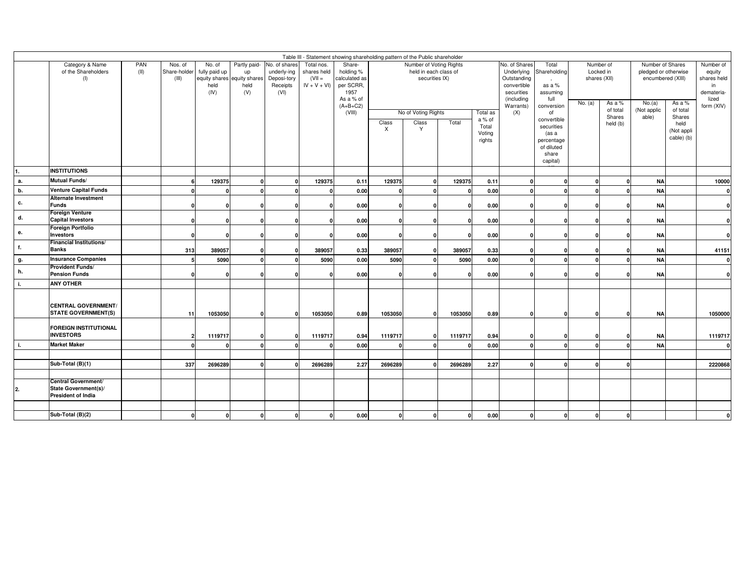|               | Table III - Statement showing shareholding pattern of the Public shareholder<br>Category & Name<br>PAN<br>Partly paid-<br>No. of shares<br>Total nos.<br>Number of Voting Rights<br>No. of Shares<br>Number of Shares<br>Number of<br>Nos. of<br>No. of<br>Share-<br>Total<br>Number of |      |                       |                               |                                                  |                                                |                                          |                                                                                      |                                    |                                                                |          |                                                                                               |              |                                                                                     |                                      |                    |                                                                   |                                            |                                                                 |
|---------------|-----------------------------------------------------------------------------------------------------------------------------------------------------------------------------------------------------------------------------------------------------------------------------------------|------|-----------------------|-------------------------------|--------------------------------------------------|------------------------------------------------|------------------------------------------|--------------------------------------------------------------------------------------|------------------------------------|----------------------------------------------------------------|----------|-----------------------------------------------------------------------------------------------|--------------|-------------------------------------------------------------------------------------|--------------------------------------|--------------------|-------------------------------------------------------------------|--------------------------------------------|-----------------------------------------------------------------|
|               | of the Shareholders<br>(1)                                                                                                                                                                                                                                                              | (II) | Share-holder<br>(III) | fully paid up<br>held<br>(IV) | up<br>equity shares equity shares<br>held<br>(V) | underly-ing<br>Deposi-tory<br>Receipts<br>(VI) | shares held<br>$(VII =$<br>$IV + V + VI$ | holding %<br>calculated as<br>per SCRR,<br>1957<br>As a % of<br>$(A+B+C2)$<br>(VIII) |                                    | held in each class of<br>securities IX)<br>No of Voting Rights |          | Underlying<br>Outstanding<br>convertible<br>securities<br>(including<br>Warrants)<br>Total as |              | Shareholding<br>as a %<br>assuming<br>full<br>conversion<br>of                      | Locked in<br>shares (XII)<br>No. (a) | As a %<br>of total | pledged or otherwise<br>encumbered (XIII)<br>No.(a)<br>Not applic | As a %<br>of total                         | equity<br>shares held<br>in<br>demateria<br>lized<br>form (XIV) |
|               |                                                                                                                                                                                                                                                                                         |      |                       |                               |                                                  |                                                |                                          |                                                                                      | Class<br>$\boldsymbol{\mathsf{X}}$ | Class<br>Y                                                     | Total    | a % of<br>Total<br>Voting<br>rights                                                           | (X)          | convertible<br>securities<br>(as a<br>percentage<br>of diluted<br>share<br>capital) |                                      | Shares<br>held (b) | able)                                                             | Shares<br>held<br>(Not appli<br>cable) (b) |                                                                 |
| 11.           | <b>INSTITUTIONS</b>                                                                                                                                                                                                                                                                     |      |                       |                               |                                                  |                                                |                                          |                                                                                      |                                    |                                                                |          |                                                                                               |              |                                                                                     |                                      |                    |                                                                   |                                            |                                                                 |
| а.            | Mutual Funds/                                                                                                                                                                                                                                                                           |      | -6                    | 129375                        | ſ                                                | $\Omega$                                       | 129375                                   | 0.11                                                                                 | 129375                             | $\Omega$                                                       | 129375   | 0.11                                                                                          | $\Omega$     |                                                                                     |                                      |                    | <b>NA</b>                                                         |                                            | 10000                                                           |
| $\mathbf b$ . | <b>Venture Capital Funds</b><br><b>Alternate Investment</b>                                                                                                                                                                                                                             |      | $\mathbf{0}$          |                               |                                                  |                                                |                                          | 0.00                                                                                 | $\mathbf 0$                        | $\Omega$                                                       | $\Omega$ | 0.00                                                                                          | $\Omega$     |                                                                                     |                                      |                    | <b>NA</b>                                                         |                                            |                                                                 |
| с.            | <b>Funds</b>                                                                                                                                                                                                                                                                            |      | $\mathbf{0}$          |                               |                                                  |                                                |                                          | 0.00                                                                                 | 0                                  |                                                                | 0        | 0.00                                                                                          | $\Omega$     |                                                                                     |                                      | $\Omega$           | <b>NA</b>                                                         |                                            |                                                                 |
| d.            | <b>Foreign Venture</b><br><b>Capital Investors</b>                                                                                                                                                                                                                                      |      | $\mathbf{0}$          |                               |                                                  |                                                |                                          | 0.00                                                                                 | $\mathbf{0}$                       |                                                                | 0        | 0.00                                                                                          | $\Omega$     |                                                                                     |                                      |                    | <b>NA</b>                                                         |                                            |                                                                 |
| е.            | <b>Foreign Portfolio</b><br><b>Investors</b>                                                                                                                                                                                                                                            |      | $\mathbf{0}$          |                               | ſ                                                |                                                |                                          | 0.00                                                                                 | $\Omega$                           | $\Omega$                                                       | $\Omega$ | 0.00                                                                                          | $\Omega$     |                                                                                     |                                      | $\Omega$           | <b>NA</b>                                                         |                                            |                                                                 |
| f.            | <b>Financial Institutions/</b><br><b>Banks</b>                                                                                                                                                                                                                                          |      | 313                   | 389057                        |                                                  | $\Omega$                                       | 389057                                   | 0.33                                                                                 | 389057                             | $\Omega$                                                       | 389057   | 0.33                                                                                          |              |                                                                                     |                                      |                    | <b>NA</b>                                                         |                                            | 41151                                                           |
| g.            | <b>Insurance Companies</b>                                                                                                                                                                                                                                                              |      | 5                     | 5090                          | ſ                                                |                                                | 5090                                     | 0.00                                                                                 | 5090                               | $\Omega$                                                       | 5090     | 0.00                                                                                          | $\Omega$     |                                                                                     |                                      |                    | <b>NA</b>                                                         |                                            |                                                                 |
| h.            | <b>Provident Funds/</b><br><b>Pension Funds</b>                                                                                                                                                                                                                                         |      | $\mathbf{0}$          |                               |                                                  |                                                |                                          | 0.00                                                                                 | $\mathbf{0}$                       |                                                                | $\Omega$ | 0.00                                                                                          |              |                                                                                     |                                      |                    | <b>NA</b>                                                         |                                            |                                                                 |
| j.            | <b>ANY OTHER</b>                                                                                                                                                                                                                                                                        |      |                       |                               |                                                  |                                                |                                          |                                                                                      |                                    |                                                                |          |                                                                                               |              |                                                                                     |                                      |                    |                                                                   |                                            |                                                                 |
|               | <b>CENTRAL GOVERNMENT/</b><br><b>STATE GOVERNMENT(S)</b>                                                                                                                                                                                                                                |      | 11                    | 1053050                       | $\Omega$                                         | $\mathbf{0}$                                   | 1053050                                  | 0.89                                                                                 | 1053050                            | $\mathbf{0}$                                                   | 1053050  | 0.89                                                                                          | $\mathbf{0}$ |                                                                                     |                                      | $\mathbf{0}$       | <b>NA</b>                                                         |                                            | 1050000                                                         |
|               | <b>FOREIGN INSTITUTIONAL</b><br><b>INVESTORS</b>                                                                                                                                                                                                                                        |      | 21                    | 1119717                       |                                                  |                                                | 1119717                                  | 0.94                                                                                 | 1119717                            | $\Omega$                                                       | 1119717  | 0.94                                                                                          | $\Omega$     |                                                                                     |                                      | $\Omega$           | <b>NA</b>                                                         |                                            | 1119717                                                         |
| j.            | <b>Market Maker</b>                                                                                                                                                                                                                                                                     |      | $\mathbf{0}$          | $\Omega$                      |                                                  |                                                |                                          | 0.00                                                                                 | 0                                  | $\Omega$                                                       | $\Omega$ | 0.00                                                                                          | $\Omega$     | - 0                                                                                 | $\mathbf{r}$                         | $\sqrt{ }$         | <b>NA</b>                                                         |                                            |                                                                 |
|               |                                                                                                                                                                                                                                                                                         |      |                       |                               |                                                  |                                                |                                          |                                                                                      |                                    |                                                                |          |                                                                                               |              |                                                                                     |                                      |                    |                                                                   |                                            |                                                                 |
|               | Sub-Total (B)(1)                                                                                                                                                                                                                                                                        |      | 337                   | 2696289                       |                                                  |                                                | 2696289                                  | 2.27                                                                                 | 2696289                            | $\Omega$                                                       | 2696289  | 2.27                                                                                          | $\Omega$     | $\sqrt{ }$                                                                          | n                                    | $\Omega$           |                                                                   |                                            | 2220868                                                         |
| 2.            | Central Government/<br>State Government(s)/<br>President of India                                                                                                                                                                                                                       |      |                       |                               |                                                  |                                                |                                          |                                                                                      |                                    |                                                                |          |                                                                                               |              |                                                                                     |                                      |                    |                                                                   |                                            |                                                                 |
|               |                                                                                                                                                                                                                                                                                         |      |                       |                               |                                                  |                                                |                                          |                                                                                      |                                    |                                                                |          |                                                                                               |              |                                                                                     |                                      |                    |                                                                   |                                            |                                                                 |
|               | Sub-Total (B)(2)                                                                                                                                                                                                                                                                        |      |                       |                               |                                                  |                                                |                                          | 0.00                                                                                 |                                    | $\Omega$                                                       | $\Omega$ | 0.00                                                                                          | $\Omega$     |                                                                                     |                                      | $\Omega$           |                                                                   |                                            |                                                                 |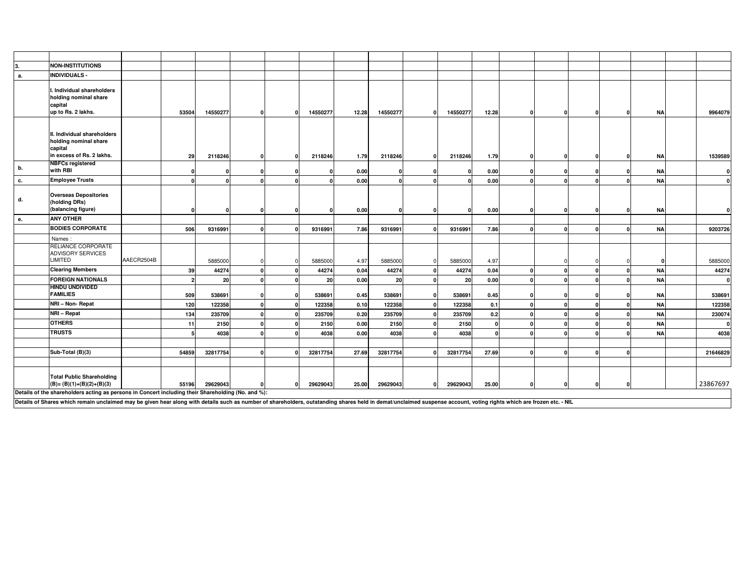| З. | <b>NON-INSTITUTIONS</b>                                                                                                                                                                                                                                                                                                    |            |                |          |              |          |       |          |          |          |          |   |              |              |           |          |
|----|----------------------------------------------------------------------------------------------------------------------------------------------------------------------------------------------------------------------------------------------------------------------------------------------------------------------------|------------|----------------|----------|--------------|----------|-------|----------|----------|----------|----------|---|--------------|--------------|-----------|----------|
| а. | <b>INDIVIDUALS -</b>                                                                                                                                                                                                                                                                                                       |            |                |          |              |          |       |          |          |          |          |   |              |              |           |          |
|    | I. Individual shareholders<br>holding nominal share<br>capital<br>up to Rs. 2 lakhs.                                                                                                                                                                                                                                       |            | 53504          | 14550277 | $\mathbf{0}$ | 14550277 | 12.28 | 14550277 | $\Omega$ | 14550277 | 12.28    | 0 | $\Omega$     | $\mathbf{0}$ | <b>NA</b> | 9964079  |
|    | II. Individual shareholders<br>holding nominal share<br>capital<br>in excess of Rs. 2 lakhs.                                                                                                                                                                                                                               |            | 29             | 2118246  | $\Omega$     | 2118246  | 1.79  | 2118246  |          | 2118246  | 1.79     |   | $\Omega$     | $\Omega$     | <b>NA</b> | 1539589  |
| b. | <b>NBFCs registered</b><br>with RBI                                                                                                                                                                                                                                                                                        |            | $\Omega$       |          |              |          | 0.00  |          |          |          | 0.00     |   |              |              | <b>NA</b> | $\Omega$ |
| с. | <b>Employee Trusts</b>                                                                                                                                                                                                                                                                                                     |            | $\Omega$       | $\Omega$ |              |          | 0.00  | n        |          |          | 0.00     |   |              |              | <b>NA</b> | $\Omega$ |
| d. | <b>Overseas Depositories</b><br>(holding DRs)<br>(balancing figure)                                                                                                                                                                                                                                                        |            | $\mathbf{0}$   | C        |              |          | 0.00  |          |          | $\Omega$ | 0.00     |   |              | $\Omega$     | <b>NA</b> |          |
| е. | <b>ANY OTHER</b>                                                                                                                                                                                                                                                                                                           |            |                |          |              |          |       |          |          |          |          |   |              |              |           |          |
|    | <b>BODIES CORPORATE</b>                                                                                                                                                                                                                                                                                                    |            | 506            | 9316991  |              | 9316991  | 7.86  | 9316991  |          | 9316991  | 7.86     |   |              | $\Omega$     | <b>NA</b> | 9203726  |
|    | Names:                                                                                                                                                                                                                                                                                                                     |            |                |          |              |          |       |          |          |          |          |   |              |              |           |          |
|    | RELIANCE CORPORATE<br>ADVISORY SERVICES<br><b>LIMITED</b>                                                                                                                                                                                                                                                                  | AAECR2504B |                | 5885000  |              | 5885000  | 4.97  | 5885000  |          | 5885000  | 4.97     |   |              |              |           | 5885000  |
|    | <b>Clearing Members</b>                                                                                                                                                                                                                                                                                                    |            | 39             | 44274    |              | 44274    | 0.04  | 44274    |          | 44274    | 0.04     |   |              |              | <b>NA</b> | 44274    |
|    | <b>FOREIGN NATIONALS</b>                                                                                                                                                                                                                                                                                                   |            | $\overline{2}$ | 20       |              | 20       | 0.00  | 20       |          | 20       | 0.00     |   |              | $\Omega$     | <b>NA</b> | $\Omega$ |
|    | <b>HINDU UNDIVIDED</b><br><b>FAMILIES</b>                                                                                                                                                                                                                                                                                  |            | 509            | 538691   |              | 538691   | 0.45  | 538691   |          | 538691   | 0.45     |   | $\mathbf{r}$ | $\Omega$     | <b>NA</b> | 538691   |
|    | NRI - Non-Repat                                                                                                                                                                                                                                                                                                            |            | 120            | 122358   | n            | 122358   | 0.10  | 122358   |          | 122358   | 0.1      |   |              | $\Omega$     | <b>NA</b> | 122358   |
|    | NRI - Repat                                                                                                                                                                                                                                                                                                                |            | 134            | 235709   |              | 235709   | 0.20  | 235709   |          | 235709   | 0.2      |   |              | $\Omega$     | <b>NA</b> | 230074   |
|    | <b>OTHERS</b>                                                                                                                                                                                                                                                                                                              |            | 11             | 2150     |              | 2150     | 0.00  | 2150     |          | 2150     | $\Omega$ |   |              | $\Omega$     | <b>NA</b> |          |
|    | <b>TRUSTS</b>                                                                                                                                                                                                                                                                                                              |            | 5              | 4038     |              | 4038     | 0.00  | 4038     |          | 4038     | $\Omega$ |   |              | $\Omega$     | <b>NA</b> | 4038     |
|    |                                                                                                                                                                                                                                                                                                                            |            |                |          |              |          |       |          |          |          |          |   |              |              |           |          |
|    | Sub-Total (B)(3)                                                                                                                                                                                                                                                                                                           |            | 54859          | 32817754 |              | 32817754 | 27.69 | 32817754 |          | 32817754 | 27.69    |   |              | $\Omega$     |           | 21646829 |
|    | <b>Total Public Shareholding</b><br>$(B)=(B)(1)+(B)(2)+(B)(3)$                                                                                                                                                                                                                                                             |            | 55196          | 29629043 | $\Omega$     | 29629043 | 25.00 | 29629043 |          | 29629043 | 25.00    |   | $\mathbf{r}$ | $\Omega$     |           | 23867697 |
|    | Details of the shareholders acting as persons in Concert including their Shareholding (No. and %):<br>Details of Shares which remain unclaimed may be given hear along with details such as number of shareholders, outstanding shares held in demat/unclaimed suspense account, voting rights which are frozen etc. - NIL |            |                |          |              |          |       |          |          |          |          |   |              |              |           |          |